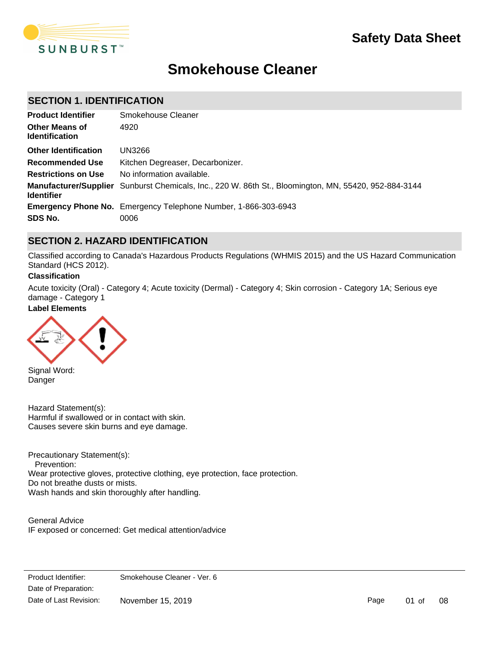

# **Smokehouse Cleaner**

### **SECTION 1. IDENTIFICATION**

| <b>Product Identifier</b>                      | Smokehouse Cleaner                                                                                           |
|------------------------------------------------|--------------------------------------------------------------------------------------------------------------|
| <b>Other Means of</b><br><b>Identification</b> | 4920                                                                                                         |
| <b>Other Identification</b>                    | UN3266                                                                                                       |
| <b>Recommended Use</b>                         | Kitchen Degreaser, Decarbonizer.                                                                             |
| <b>Restrictions on Use</b>                     | No information available.                                                                                    |
| <b>Identifier</b>                              | <b>Manufacturer/Supplier</b> Sunburst Chemicals, Inc., 220 W. 86th St., Bloomington, MN, 55420, 952-884-3144 |
|                                                | <b>Emergency Phone No.</b> Emergency Telephone Number, 1-866-303-6943                                        |
| SDS No.                                        | 0006                                                                                                         |

### **SECTION 2. HAZARD IDENTIFICATION**

Classified according to Canada's Hazardous Products Regulations (WHMIS 2015) and the US Hazard Communication Standard (HCS 2012).

### **Classification**

Acute toxicity (Oral) - Category 4; Acute toxicity (Dermal) - Category 4; Skin corrosion - Category 1A; Serious eye damage - Category 1

IF IN EYES: Rinse cautiously with water for several minutes. Remove contact lenses, if present and easy to do.

### **Label Elements**



Signal Word: Danger

Hazard Statement(s): Harmful if swallowed or in contact with skin. Causes severe skin burns and eye damage.

Precautionary Statement(s): Prevention: Wear protective gloves, protective clothing, eye protection, face protection. Do not breathe dusts or mists. Wash hands and skin thoroughly after handling.

General Advice IF exposed or concerned: Get medical attention/advice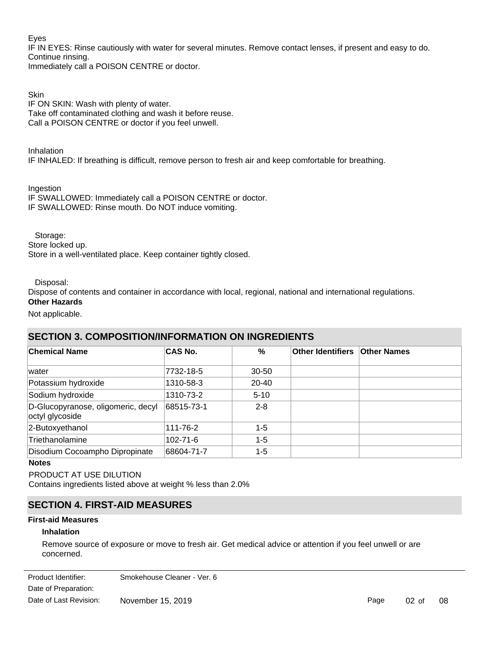### Eyes

IF IN EYES: Rinse cautiously with water for several minutes. Remove contact lenses, if present and easy to do. Continue rinsing.

Immediately call a POISON CENTRE or doctor.

**Skin** IF ON SKIN: Wash with plenty of water. Take off contaminated clothing and wash it before reuse. Call a POISON CENTRE or doctor if you feel unwell.

Inhalation

IF INHALED: If breathing is difficult, remove person to fresh air and keep comfortable for breathing.

Ingestion

IF SWALLOWED: Immediately call a POISON CENTRE or doctor. IF SWALLOWED: Rinse mouth. Do NOT induce vomiting.

Storage:

Store locked up.

Store in a well-ventilated place. Keep container tightly closed.

Disposal:

Dispose of contents and container in accordance with local, regional, national and international regulations.

## **Other Hazards**

Not applicable.

### **SECTION 3. COMPOSITION/INFORMATION ON INGREDIENTS**

| <b>Chemical Name</b>                                  | <b>CAS No.</b> | %         | Other Identifiers   Other Names |  |
|-------------------------------------------------------|----------------|-----------|---------------------------------|--|
| water                                                 | 7732-18-5      | $30 - 50$ |                                 |  |
| Potassium hydroxide                                   | 1310-58-3      | 20-40     |                                 |  |
| Sodium hydroxide                                      | 1310-73-2      | $5 - 10$  |                                 |  |
| D-Glucopyranose, oligomeric, decyl<br>octyl glycoside | 68515-73-1     | $2 - 8$   |                                 |  |
| 2-Butoxyethanol                                       | 111-76-2       | $1 - 5$   |                                 |  |
| Triethanolamine                                       | 102-71-6       | $1 - 5$   |                                 |  |
| Disodium Cocoampho Dipropinate                        | 68604-71-7     | $1 - 5$   |                                 |  |

### **Notes**

PRODUCT AT USE DILUTION

Contains ingredients listed above at weight % less than 2.0%

### **SECTION 4. FIRST-AID MEASURES**

### **First-aid Measures**

### **Inhalation**

Remove source of exposure or move to fresh air. Get medical advice or attention if you feel unwell or are concerned.

Date of Preparation: Product Identifier: Smokehouse Cleaner - Ver. 6 Date of Last Revision: November 15, 2019

Page 02 of 08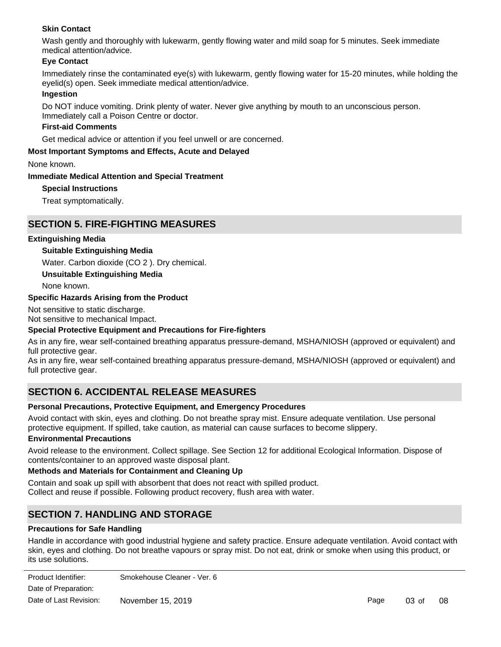### **Skin Contact**

Wash gently and thoroughly with lukewarm, gently flowing water and mild soap for 5 minutes. Seek immediate medical attention/advice.

### **Eye Contact**

Immediately rinse the contaminated eye(s) with lukewarm, gently flowing water for 15-20 minutes, while holding the eyelid(s) open. Seek immediate medical attention/advice.

### **Ingestion**

Do NOT induce vomiting. Drink plenty of water. Never give anything by mouth to an unconscious person. Immediately call a Poison Centre or doctor.

### **First-aid Comments**

Get medical advice or attention if you feel unwell or are concerned.

### **Most Important Symptoms and Effects, Acute and Delayed**

None known.

### **Immediate Medical Attention and Special Treatment**

**Special Instructions**

Treat symptomatically.

### **SECTION 5. FIRE-FIGHTING MEASURES**

### **Extinguishing Media**

### **Suitable Extinguishing Media**

Water. Carbon dioxide (CO 2 ). Dry chemical.

**Unsuitable Extinguishing Media**

None known.

### **Specific Hazards Arising from the Product**

Not sensitive to static discharge.

Not sensitive to mechanical Impact.

### **Special Protective Equipment and Precautions for Fire-fighters**

As in any fire, wear self-contained breathing apparatus pressure-demand, MSHA/NIOSH (approved or equivalent) and full protective gear.

As in any fire, wear self-contained breathing apparatus pressure-demand, MSHA/NIOSH (approved or equivalent) and full protective gear.

### **SECTION 6. ACCIDENTAL RELEASE MEASURES**

### **Personal Precautions, Protective Equipment, and Emergency Procedures**

Avoid contact with skin, eyes and clothing. Do not breathe spray mist. Ensure adequate ventilation. Use personal protective equipment. If spilled, take caution, as material can cause surfaces to become slippery.

### **Environmental Precautions**

Avoid release to the environment. Collect spillage. See Section 12 for additional Ecological Information. Dispose of contents/container to an approved waste disposal plant.

### **Methods and Materials for Containment and Cleaning Up**

Contain and soak up spill with absorbent that does not react with spilled product. Collect and reuse if possible. Following product recovery, flush area with water.

### **SECTION 7. HANDLING AND STORAGE**

### **Precautions for Safe Handling**

Handle in accordance with good industrial hygiene and safety practice. Ensure adequate ventilation. Avoid contact with skin, eyes and clothing. Do not breathe vapours or spray mist. Do not eat, drink or smoke when using this product, or its use solutions.

| Product Identifier:    | Smokehouse Cleaner - Ver. 6 |
|------------------------|-----------------------------|
| Date of Preparation:   |                             |
| Date of Last Revision: | November 15, 2019           |

Page 03 of 08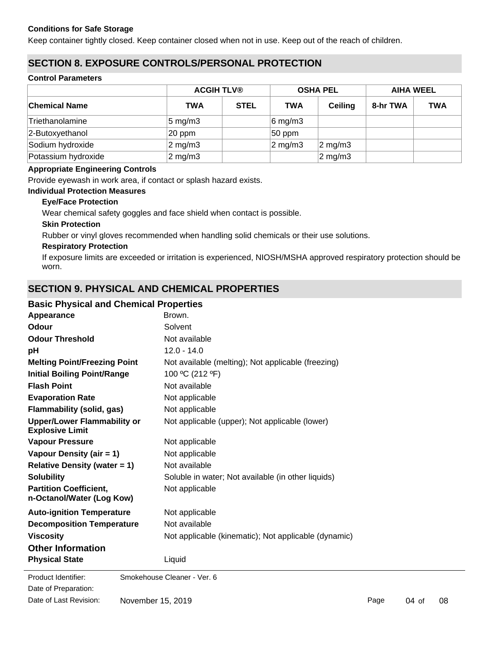### **Conditions for Safe Storage**

Keep container tightly closed. Keep container closed when not in use. Keep out of the reach of children.

### **SECTION 8. EXPOSURE CONTROLS/PERSONAL PROTECTION**

### **Control Parameters**

|                      |                    | <b>ACGIH TLV®</b> |                  | <b>OSHA PEL</b>    |          | <b>AIHA WEEL</b> |  |
|----------------------|--------------------|-------------------|------------------|--------------------|----------|------------------|--|
| <b>Chemical Name</b> | TWA                | <b>STEL</b>       | <b>TWA</b>       | <b>Ceiling</b>     | 8-hr TWA | <b>TWA</b>       |  |
| Triethanolamine      | $5 \text{ mg/m}$ 3 |                   | $6$ mg/m3        |                    |          |                  |  |
| 2-Butoxyethanol      | 20 ppm             |                   | $ 50$ ppm        |                    |          |                  |  |
| Sodium hydroxide     | $2 \text{ mg/m}$ 3 |                   | $\sqrt{2}$ mg/m3 | $2 \text{ mg/m}$ 3 |          |                  |  |
| Potassium hydroxide  | $2 \text{ mg/m}$ 3 |                   |                  | $2 \text{ mg/m}$ 3 |          |                  |  |

### **Appropriate Engineering Controls**

Provide eyewash in work area, if contact or splash hazard exists.

### **Individual Protection Measures**

### **Eye/Face Protection**

Wear chemical safety goggles and face shield when contact is possible.

### **Skin Protection**

Rubber or vinyl gloves recommended when handling solid chemicals or their use solutions.

### **Respiratory Protection**

If exposure limits are exceeded or irritation is experienced, NIOSH/MSHA approved respiratory protection should be worn.

### **SECTION 9. PHYSICAL AND CHEMICAL PROPERTIES**

### **Basic Physical and Chemical Properties**

| Appearance                                                   | Brown.                                               |
|--------------------------------------------------------------|------------------------------------------------------|
| <b>Odour</b>                                                 | Solvent                                              |
| <b>Odour Threshold</b>                                       | Not available                                        |
| pH                                                           | $12.0 - 14.0$                                        |
| <b>Melting Point/Freezing Point</b>                          | Not available (melting); Not applicable (freezing)   |
| <b>Initial Boiling Point/Range</b>                           | 100 °C (212 °F)                                      |
| <b>Flash Point</b>                                           | Not available                                        |
| <b>Evaporation Rate</b>                                      | Not applicable                                       |
| <b>Flammability (solid, gas)</b>                             | Not applicable                                       |
| <b>Upper/Lower Flammability or</b><br><b>Explosive Limit</b> | Not applicable (upper); Not applicable (lower)       |
| <b>Vapour Pressure</b>                                       | Not applicable                                       |
| Vapour Density (air = 1)                                     | Not applicable                                       |
| <b>Relative Density (water = 1)</b>                          | Not available                                        |
| <b>Solubility</b>                                            | Soluble in water; Not available (in other liquids)   |
| <b>Partition Coefficient,</b><br>n-Octanol/Water (Log Kow)   | Not applicable                                       |
| <b>Auto-ignition Temperature</b>                             | Not applicable                                       |
| <b>Decomposition Temperature</b>                             | Not available                                        |
| <b>Viscosity</b>                                             | Not applicable (kinematic); Not applicable (dynamic) |
| <b>Other Information</b>                                     |                                                      |
| <b>Physical State</b>                                        | Liquid                                               |
| Product Identifier:                                          | Smokehouse Cleaner - Ver. 6                          |
| Date of Preparation:                                         |                                                      |

Date of Last Revision: November 15, 2019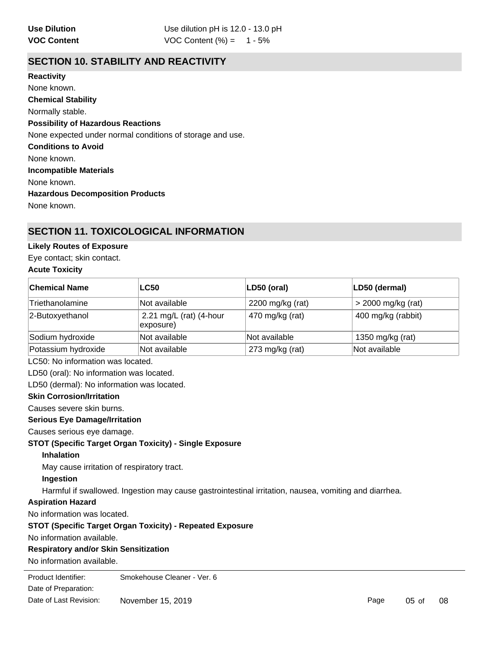### **SECTION 10. STABILITY AND REACTIVITY**

**Chemical Stability** Normally stable. **Conditions to Avoid** None known. **Incompatible Materials** None known. **Hazardous Decomposition Products** None known. **Possibility of Hazardous Reactions** None expected under normal conditions of storage and use. **Reactivity** None known.

### **SECTION 11. TOXICOLOGICAL INFORMATION**

### **Likely Routes of Exposure**

Eye contact; skin contact.

### **Acute Toxicity**

| <b>Chemical Name</b> | <b>LC50</b>                          | LD50 (oral)      | LD50 (dermal)        |
|----------------------|--------------------------------------|------------------|----------------------|
| Triethanolamine      | Not available                        | 2200 mg/kg (rat) | $>$ 2000 mg/kg (rat) |
| 2-Butoxyethanol      | 2.21 mg/L (rat) (4-hour<br>exposure) | 470 mg/kg (rat)  | 400 mg/kg (rabbit)   |
| Sodium hydroxide     | Not available                        | Not available    | 1350 mg/kg (rat)     |
| Potassium hydroxide  | Not available                        | 273 mg/kg (rat)  | Not available        |

LC50: No information was located.

LD50 (oral): No information was located.

LD50 (dermal): No information was located.

### **Skin Corrosion/Irritation**

Causes severe skin burns.

### **Serious Eye Damage/Irritation**

Causes serious eye damage.

### **STOT (Specific Target Organ Toxicity) - Single Exposure**

**Inhalation**

May cause irritation of respiratory tract.

### **Ingestion**

Harmful if swallowed. Ingestion may cause gastrointestinal irritation, nausea, vomiting and diarrhea.

### **Aspiration Hazard**

No information was located.

### **STOT (Specific Target Organ Toxicity) - Repeated Exposure**

No information available.

### **Respiratory and/or Skin Sensitization**

No information available.

**Product Identifier:** Date of Preparation: Smokehouse Cleaner - Ver. 6 Date of Last Revision: November 15, 2019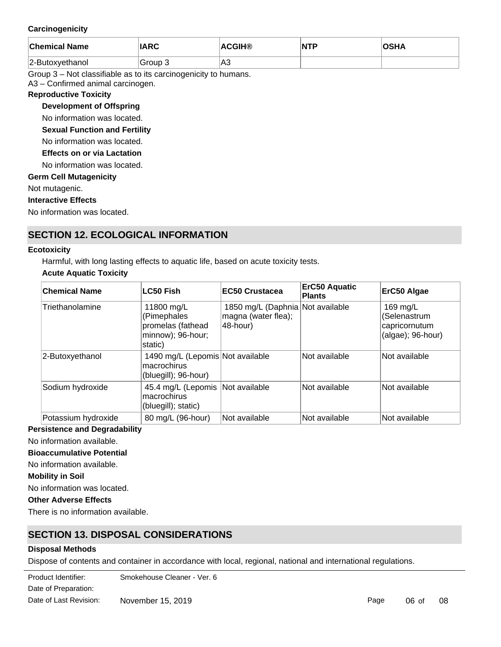### **Carcinogenicity**

| <b>Chemical Name</b> | <b>IARC</b> | <b>ACGIH®</b> | NTP | ດເ⊔∧<br>75HA |
|----------------------|-------------|---------------|-----|--------------|
| 2-Butoxyethanol      | Group 3     | lA3           |     |              |

Group 3 – Not classifiable as to its carcinogenicity to humans.

A3 – Confirmed animal carcinogen.

#### **Reproductive Toxicity**

**Development of Offspring**

No information was located.

**Sexual Function and Fertility**

No information was located.

**Effects on or via Lactation**

No information was located.

### **Germ Cell Mutagenicity**

Not mutagenic.

**Interactive Effects**

No information was located.

### **SECTION 12. ECOLOGICAL INFORMATION**

#### **Ecotoxicity**

Harmful, with long lasting effects to aquatic life, based on acute toxicity tests.

### **Acute Aquatic Toxicity**

| <b>Chemical Name</b> | <b>LC50 Fish</b>                                                               | EC50 Crustacea                                                      | <b>ErC50 Aquatic</b><br><b>Plants</b> | ErC50 Algae                                                       |
|----------------------|--------------------------------------------------------------------------------|---------------------------------------------------------------------|---------------------------------------|-------------------------------------------------------------------|
| Triethanolamine      | 11800 mg/L<br>(Pimephales<br>promelas (fathead<br>minnow); 96-hour;<br>static) | 1850 mg/L (Daphnia Not available<br>magna (water flea);<br>48-hour) |                                       | 169 mg/L<br>(Selenastrum<br>capricornutum<br>$(algae)$ ; 96-hour) |
| 2-Butoxyethanol      | 1490 mg/L (Lepomis Not available<br>macrochirus<br>(bluegill); 96-hour)        |                                                                     | Not available                         | Not available                                                     |
| Sodium hydroxide     | 45.4 mg/L (Lepomis Not available<br>macrochirus<br>(bluegill); static)         |                                                                     | Not available                         | Not available                                                     |
| Potassium hydroxide  | 80 mg/L (96-hour)                                                              | <b>Not available</b>                                                | Not available                         | Not available                                                     |

**Persistence and Degradability**

No information available.

### **Bioaccumulative Potential**

No information available.

**Mobility in Soil**

No information was located.

### **Other Adverse Effects**

There is no information available.

### **SECTION 13. DISPOSAL CONSIDERATIONS**

### **Disposal Methods**

Dispose of contents and container in accordance with local, regional, national and international regulations.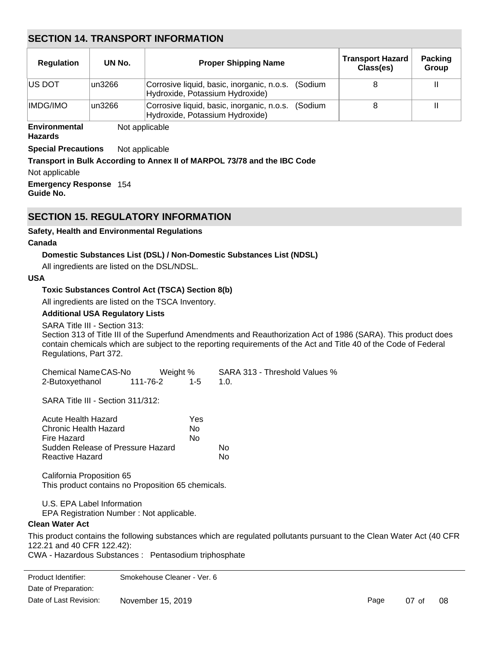### **SECTION 14. TRANSPORT INFORMATION**

| <b>Regulation</b> | UN No.  | <b>Proper Shipping Name</b>                                                           | <b>Transport Hazard</b><br>Class(es) | <b>Packing</b><br>Group |
|-------------------|---------|---------------------------------------------------------------------------------------|--------------------------------------|-------------------------|
| <b>IUS DOT</b>    | lun3266 | Corrosive liquid, basic, inorganic, n.o.s. (Sodium<br>Hydroxide, Potassium Hydroxide) |                                      |                         |
| <b>IMDG/IMO</b>   | lun3266 | Corrosive liquid, basic, inorganic, n.o.s. (Sodium<br>Hydroxide, Potassium Hydroxide) |                                      |                         |

#### **Environmental** Not applicable

**Hazards**

**Special Precautions** Not applicable

### **Transport in Bulk According to Annex II of MARPOL 73/78 and the IBC Code**

Not applicable

**Emergency Response** 154 **Guide No.**

### **SECTION 15. REGULATORY INFORMATION**

### **Safety, Health and Environmental Regulations**

### **Canada**

### **Domestic Substances List (DSL) / Non-Domestic Substances List (NDSL)**

All ingredients are listed on the DSL/NDSL.

### **USA**

### **Toxic Substances Control Act (TSCA) Section 8(b)**

All ingredients are listed on the TSCA Inventory.

### **Additional USA Regulatory Lists**

SARA Title III - Section 313:

Section 313 of Title III of the Superfund Amendments and Reauthorization Act of 1986 (SARA). This product does contain chemicals which are subject to the reporting requirements of the Act and Title 40 of the Code of Federal Regulations, Part 372.

| Chemical NameCAS-No | Weight % |             | SARA 313 - Threshold Values % |
|---------------------|----------|-------------|-------------------------------|
| 2-Butoxyethanol     | 111-76-2 | $1-5$ $1.0$ |                               |

SARA Title III - Section 311/312:

| Acute Health Hazard               | Yes |    |
|-----------------------------------|-----|----|
| Chronic Health Hazard             | Nο  |    |
| Fire Hazard                       | N٥  |    |
| Sudden Release of Pressure Hazard |     | N٥ |
| Reactive Hazard                   |     | N٥ |

California Proposition 65 This product contains no Proposition 65 chemicals.

U.S. EPA Label Information

EPA Registration Number : Not applicable.

### **Clean Water Act**

This product contains the following substances which are regulated pollutants pursuant to the Clean Water Act (40 CFR 122.21 and 40 CFR 122.42):

CWA - Hazardous Substances : Pentasodium triphosphate

| Product Identifier:    | Smokehouse Cleaner - Ver. 6 |      |         |    |
|------------------------|-----------------------------|------|---------|----|
| Date of Preparation:   |                             |      |         |    |
| Date of Last Revision: | November 15, 2019           | Page | $07$ of | 08 |